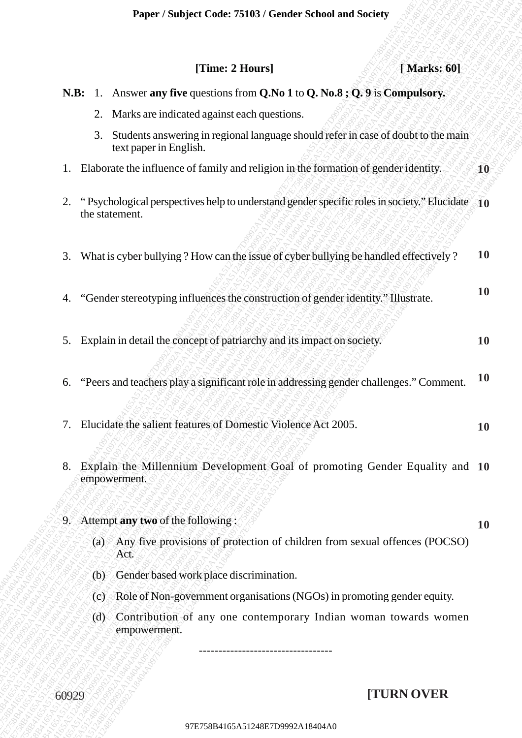|       |                                                                                                                        |                        |  |                                                                                     |                                             |  | Paper / Subject Code: 75103 / Gender School and Society                               |           |             |  |            |
|-------|------------------------------------------------------------------------------------------------------------------------|------------------------|--|-------------------------------------------------------------------------------------|---------------------------------------------|--|---------------------------------------------------------------------------------------|-----------|-------------|--|------------|
|       |                                                                                                                        |                        |  |                                                                                     |                                             |  |                                                                                       |           |             |  |            |
|       |                                                                                                                        |                        |  |                                                                                     | [Time: 2 Hours]                             |  |                                                                                       |           | [Marks: 60] |  |            |
|       |                                                                                                                        |                        |  |                                                                                     |                                             |  | N.B: 1. Answer any five questions from Q.No 1 to Q.No.8; Q.9 is Compulsory.           |           |             |  |            |
|       | 2.                                                                                                                     |                        |  |                                                                                     | Marks are indicated against each questions. |  |                                                                                       |           |             |  |            |
|       | 3.                                                                                                                     | text paper in English. |  |                                                                                     |                                             |  | Students answering in regional language should refer in case of doubt to the main     |           |             |  |            |
| 1.    |                                                                                                                        |                        |  | Elaborate the influence of family and religion in the formation of gender identity. |                                             |  |                                                                                       |           |             |  | ${\bf 10}$ |
| 2.    | "Psychological perspectives help to understand gender specific roles in society." Elucidate 10<br>the statement.       |                        |  |                                                                                     |                                             |  |                                                                                       |           |             |  |            |
| 3.    |                                                                                                                        |                        |  |                                                                                     |                                             |  | What is cyber bullying ? How can the issue of cyber bullying be handled effectively ? |           |             |  | <b>10</b>  |
| 4.    | "Gender stereotyping influences the construction of gender identity." Illustrate.                                      |                        |  |                                                                                     |                                             |  |                                                                                       |           | <b>10</b>   |  |            |
|       | 5. Explain in detail the concept of patriarchy and its impact on society.                                              |                        |  |                                                                                     |                                             |  |                                                                                       |           | <b>10</b>   |  |            |
| 6.    | "Peers and teachers play a significant role in addressing gender challenges." Comment.                                 |                        |  |                                                                                     |                                             |  |                                                                                       |           | <b>10</b>   |  |            |
| 7.    | Elucidate the salient features of Domestic Violence Act 2005.                                                          |                        |  |                                                                                     |                                             |  |                                                                                       | <b>10</b> |             |  |            |
| 8.    |                                                                                                                        | empowerment.           |  |                                                                                     |                                             |  | Explain the Millennium Development Goal of promoting Gender Equality and 10           |           |             |  |            |
|       |                                                                                                                        |                        |  |                                                                                     |                                             |  |                                                                                       |           |             |  |            |
|       | 9. Attempt any two of the following:<br>(a) Any five provisions of protection of children from sexual offences (POCSO) |                        |  |                                                                                     |                                             |  |                                                                                       | 10        |             |  |            |
|       |                                                                                                                        | Act.                   |  |                                                                                     |                                             |  |                                                                                       |           |             |  |            |
|       | (b)                                                                                                                    |                        |  |                                                                                     | Gender based work place discrimination.     |  |                                                                                       |           |             |  |            |
|       | (c)                                                                                                                    |                        |  |                                                                                     |                                             |  | Role of Non-government organisations (NGOs) in promoting gender equity.               |           |             |  |            |
|       | (d)                                                                                                                    | empowerment.           |  |                                                                                     |                                             |  | Contribution of any one contemporary Indian woman towards women                       |           |             |  |            |
|       |                                                                                                                        |                        |  |                                                                                     |                                             |  |                                                                                       |           |             |  |            |
| 60929 |                                                                                                                        |                        |  |                                                                                     |                                             |  |                                                                                       |           | [TURN OVER  |  |            |
|       |                                                                                                                        |                        |  |                                                                                     |                                             |  |                                                                                       |           |             |  |            |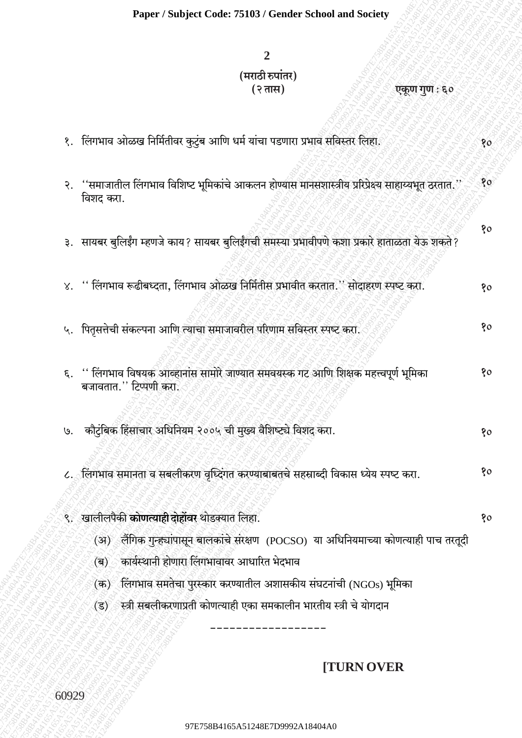# $\overline{2}$ (मराठी रुपांतर) (२ तास)

एकूण गुण : ६०

१. लिंगभाव ओळख निर्मितीवर कुटुंब आणि धर्म यांचा पडणारा प्रभाव संविस्तर लिहा. 80 २. ''समाजातील लिंगभाव विशिष्ट भूमिकांचे आकलन होण्यास मानसशास्त्रीय प्ररिप्रेक्ष्य साहाय्यभूत ठरतात.'' 80 विशद करा. १० ३. सायबर बुलिईंग म्हणजे काय? सायबर बुलिईंगची समस्या प्रभावीपणे कशा प्रकारे हाताळता येऊ शकते? ४. '' लिंगभाव रूढीबध्दता, लिंगभाव ओळख निर्मितीस प्रभावीत करतात.'' सोदाहरण स्पष्ट करा.  $80$ ५. पितृसत्तेची संकल्पना आणि त्याचा समाजावरील परिणाम सविस्तर स्पष्ट करा. 80 ६. '' लिंगभाव विषयक आव्हानांस सामोरे जाण्यात समवयस्क गट आणि शिक्षक महत्त्वपूर्ण भूमिका 80 बजावतात." टिप्पणी करा. ७. कौटुंबिक हिंसाचार अधिनियम २००५ ची मुख्य वैशिष्ट्ये विशद करा. 80  $80$ ८. लिंगभाव समानता व सबलीकरण वर्ध्दिगत करण्याबाबतचे सहस्राब्दी विकास ध्येय स्पष्ट करा. ९. खालीलपैकी कोणत्याही दोहोंवर थोडक्यात लिहा. 80 (अ) लैंगिक गुन्ह्यांपासून बालकांचे संरक्षण (POCSO) या अधिनियमाच्या कोणत्याही पाच तरतूदी कार्यस्थानी होणारा लिंगभावावर आधारित भेदभाव  $\langle \overline{\mathbf{a}} \rangle$  $($ क) लिंगभाव समतेचा पुरस्कार करण्यातील अशासकीय संघटनांची (NGOs) भूमिका स्त्री सबलीकरणाप्रती कोणत्याही एका समकालीन भारतीय स्त्री चे योगदान  $(3)$ 

## **ITURN OVER**

60929